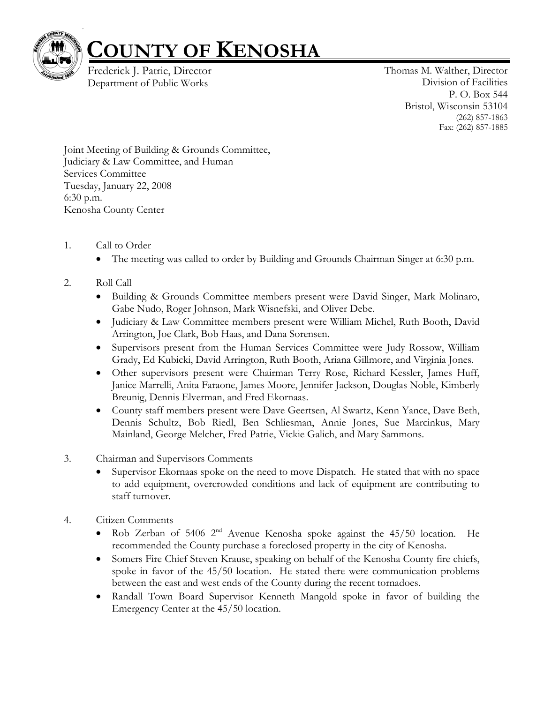

## **COUNTY OF KENOSHA**

Frederick J. Patrie, Director Department of Public Works

Thomas M. Walther, Director Division of Facilities P. O. Box 544 Bristol, Wisconsin 53104 (262) 857-1863 Fax: (262) 857-1885

Joint Meeting of Building & Grounds Committee, Judiciary & Law Committee, and Human Services Committee Tuesday, January 22, 2008 6:30 p.m. Kenosha County Center

- 1. Call to Order
	- The meeting was called to order by Building and Grounds Chairman Singer at 6:30 p.m.

## 2. Roll Call

- Building & Grounds Committee members present were David Singer, Mark Molinaro, Gabe Nudo, Roger Johnson, Mark Wisnefski, and Oliver Debe.
- Judiciary & Law Committee members present were William Michel, Ruth Booth, David Arrington, Joe Clark, Bob Haas, and Dana Sorensen.
- Supervisors present from the Human Services Committee were Judy Rossow, William Grady, Ed Kubicki, David Arrington, Ruth Booth, Ariana Gillmore, and Virginia Jones.
- Other supervisors present were Chairman Terry Rose, Richard Kessler, James Huff, Janice Marrelli, Anita Faraone, James Moore, Jennifer Jackson, Douglas Noble, Kimberly Breunig, Dennis Elverman, and Fred Ekornaas.
- County staff members present were Dave Geertsen, Al Swartz, Kenn Yance, Dave Beth, Dennis Schultz, Bob Riedl, Ben Schliesman, Annie Jones, Sue Marcinkus, Mary Mainland, George Melcher, Fred Patrie, Vickie Galich, and Mary Sammons.
- 3. Chairman and Supervisors Comments
	- Supervisor Ekornaas spoke on the need to move Dispatch. He stated that with no space to add equipment, overcrowded conditions and lack of equipment are contributing to staff turnover.
- 4. Citizen Comments
	- Rob Zerban of 5406 2<sup>nd</sup> Avenue Kenosha spoke against the 45/50 location. He recommended the County purchase a foreclosed property in the city of Kenosha.
	- Somers Fire Chief Steven Krause, speaking on behalf of the Kenosha County fire chiefs, spoke in favor of the 45/50 location. He stated there were communication problems between the east and west ends of the County during the recent tornadoes.
	- Randall Town Board Supervisor Kenneth Mangold spoke in favor of building the Emergency Center at the 45/50 location.